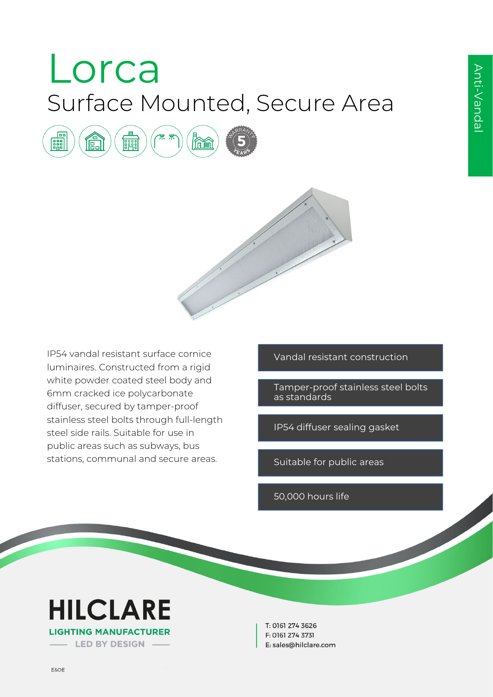# Lorca Surface Mounted, Secure Area





IP54 vandal resistant surface cornice luminaires. Constructed from a rigid white powder coated steel body and 6mm cracked ice polycarbonate diffuser, secured by tamper-proof stainless steel bolts through full-length steel side rails. Suitable for use in public areas such as subways, bus stations, communal and secure areas.

Vandal resistant construction

Tamper-proof stainless steel bolts as standards

IP54 diffuser sealing gasket

Suitable for public areas

50,000 hours life



T: 0161 274 3626 F: 0161 274 3731 E: sales@hilclare.com